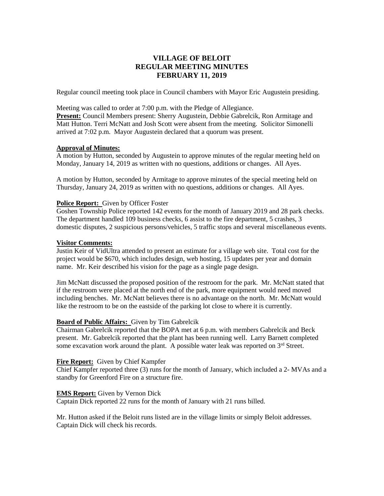# **VILLAGE OF BELOIT REGULAR MEETING MINUTES FEBRUARY 11, 2019**

Regular council meeting took place in Council chambers with Mayor Eric Augustein presiding.

Meeting was called to order at 7:00 p.m. with the Pledge of Allegiance.

**Present:** Council Members present: Sherry Augustein, Debbie Gabrelcik, Ron Armitage and Matt Hutton. Terri McNatt and Josh Scott were absent from the meeting. Solicitor Simonelli arrived at 7:02 p.m. Mayor Augustein declared that a quorum was present.

# **Approval of Minutes:**

A motion by Hutton, seconded by Augustein to approve minutes of the regular meeting held on Monday, January 14, 2019 as written with no questions, additions or changes. All Ayes.

A motion by Hutton, seconded by Armitage to approve minutes of the special meeting held on Thursday, January 24, 2019 as written with no questions, additions or changes. All Ayes.

## **Police Report:** Given by Officer Foster

Goshen Township Police reported 142 events for the month of January 2019 and 28 park checks. The department handled 109 business checks, 6 assist to the fire department, 5 crashes, 3 domestic disputes, 2 suspicious persons/vehicles, 5 traffic stops and several miscellaneous events.

## **Visitor Comments:**

Justin Keir of VidUltra attended to present an estimate for a village web site. Total cost for the project would be \$670, which includes design, web hosting, 15 updates per year and domain name. Mr. Keir described his vision for the page as a single page design.

Jim McNatt discussed the proposed position of the restroom for the park. Mr. McNatt stated that if the restroom were placed at the north end of the park, more equipment would need moved including benches. Mr. McNatt believes there is no advantage on the north. Mr. McNatt would like the restroom to be on the eastside of the parking lot close to where it is currently.

# **Board of Public Affairs:** Given by Tim Gabrelcik

Chairman Gabrelcik reported that the BOPA met at 6 p.m. with members Gabrelcik and Beck present. Mr. Gabrelcik reported that the plant has been running well. Larry Barnett completed some excavation work around the plant. A possible water leak was reported on 3<sup>rd</sup> Street.

# **Fire Report:** Given by Chief Kampfer

Chief Kampfer reported three (3) runs for the month of January, which included a 2- MVAs and a standby for Greenford Fire on a structure fire.

#### **EMS Report:** Given by Vernon Dick

Captain Dick reported 22 runs for the month of January with 21 runs billed.

Mr. Hutton asked if the Beloit runs listed are in the village limits or simply Beloit addresses. Captain Dick will check his records.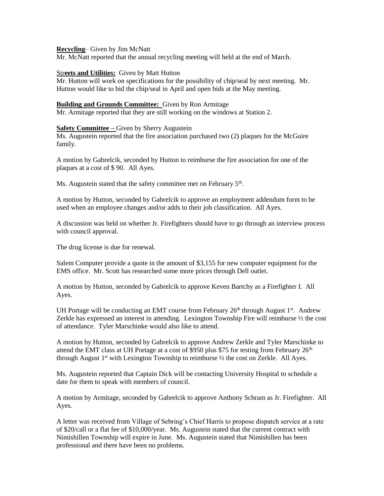**Recycling**– Given by Jim McNatt

Mr. McNatt reported that the annual recycling meeting will held at the end of March.

#### Str**eets and Utilities:** Given by Matt Hutton

Mr. Hutton will work on specifications for the possibility of chip/seal by next meeting. Mr. Hutton would like to bid the chip/seal in April and open bids at the May meeting.

## **Building and Grounds Committee:** Given by Ron Armitage

Mr. Armitage reported that they are still working on the windows at Station 2.

## **Safety Committee –** Given by Sherry Augustein

Ms. Augustein reported that the fire association purchased two (2) plaques for the McGuire family.

A motion by Gabrelcik, seconded by Hutton to reimburse the fire association for one of the plaques at a cost of \$ 90. All Ayes.

Ms. Augustein stated that the safety committee met on February 5<sup>th</sup>.

A motion by Hutton, seconded by Gabrelcik to approve an employment addendum form to be used when an employee changes and/or adds to their job classification. All Ayes.

A discussion was held on whether Jr. Firefighters should have to go through an interview process with council approval.

The drug license is due for renewal.

Salem Computer provide a quote in the amount of \$3,155 for new computer equipment for the EMS office. Mr. Scott has researched some more prices through Dell outlet.

A motion by Hutton, seconded by Gabrelcik to approve Keven Bartchy as a Firefighter I. All Ayes.

UH Portage will be conducting an EMT course from February  $26<sup>th</sup>$  through August  $1<sup>st</sup>$ . Andrew Zerkle has expressed an interest in attending. Lexington Township Fire will reimburse ½ the cost of attendance. Tyler Marschinke would also like to attend.

A motion by Hutton, seconded by Gabrelcik to approve Andrew Zerkle and Tyler Marschinke to attend the EMT class at UH Portage at a cost of \$950 plus \$75 for testing from February  $26<sup>th</sup>$ through August  $1<sup>st</sup>$  with Lexington Township to reimburse  $\frac{1}{2}$  the cost on Zerkle. All Ayes.

Ms. Augustein reported that Captain Dick will be contacting University Hospital to schedule a date for them to speak with members of council.

A motion by Armitage, seconded by Gabrelcik to approve Anthony Schram as Jr. Firefighter. All Ayes.

A letter was received from Village of Sebring's Chief Harris to propose dispatch service at a rate of \$20/call or a flat fee of \$10,000/year. Ms. Augustein stated that the current contract with Nimishillen Township will expire in June. Ms. Augustein stated that Nimishillen has been professional and there have been no problems.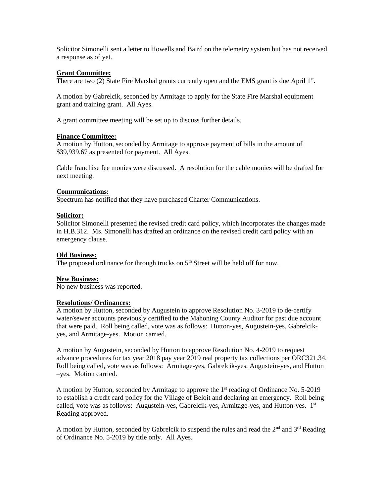Solicitor Simonelli sent a letter to Howells and Baird on the telemetry system but has not received a response as of yet.

## **Grant Committee:**

There are two  $(2)$  State Fire Marshal grants currently open and the EMS grant is due April  $1<sup>st</sup>$ .

A motion by Gabrelcik, seconded by Armitage to apply for the State Fire Marshal equipment grant and training grant. All Ayes.

A grant committee meeting will be set up to discuss further details.

## **Finance Committee:**

A motion by Hutton, seconded by Armitage to approve payment of bills in the amount of \$39,939.67 as presented for payment. All Ayes.

Cable franchise fee monies were discussed. A resolution for the cable monies will be drafted for next meeting.

## **Communications:**

Spectrum has notified that they have purchased Charter Communications.

# **Solicitor:**

Solicitor Simonelli presented the revised credit card policy, which incorporates the changes made in H.B.312. Ms. Simonelli has drafted an ordinance on the revised credit card policy with an emergency clause.

# **Old Business:**

The proposed ordinance for through trucks on 5<sup>th</sup> Street will be held off for now.

#### **New Business:**

No new business was reported.

#### **Resolutions/ Ordinances:**

A motion by Hutton, seconded by Augustein to approve Resolution No. 3-2019 to de-certify water/sewer accounts previously certified to the Mahoning County Auditor for past due account that were paid. Roll being called, vote was as follows: Hutton-yes, Augustein-yes, Gabrelcikyes, and Armitage-yes. Motion carried.

A motion by Augustein, seconded by Hutton to approve Resolution No. 4-2019 to request advance procedures for tax year 2018 pay year 2019 real property tax collections per ORC321.34. Roll being called, vote was as follows: Armitage-yes, Gabrelcik-yes, Augustein-yes, and Hutton –yes. Motion carried.

A motion by Hutton, seconded by Armitage to approve the 1<sup>st</sup> reading of Ordinance No. 5-2019 to establish a credit card policy for the Village of Beloit and declaring an emergency. Roll being called, vote was as follows: Augustein-yes, Gabrelcik-yes, Armitage-yes, and Hutton-yes.  $1<sup>st</sup>$ Reading approved.

A motion by Hutton, seconded by Gabrelcik to suspend the rules and read the  $2<sup>nd</sup>$  and  $3<sup>rd</sup>$  Reading of Ordinance No. 5-2019 by title only. All Ayes.